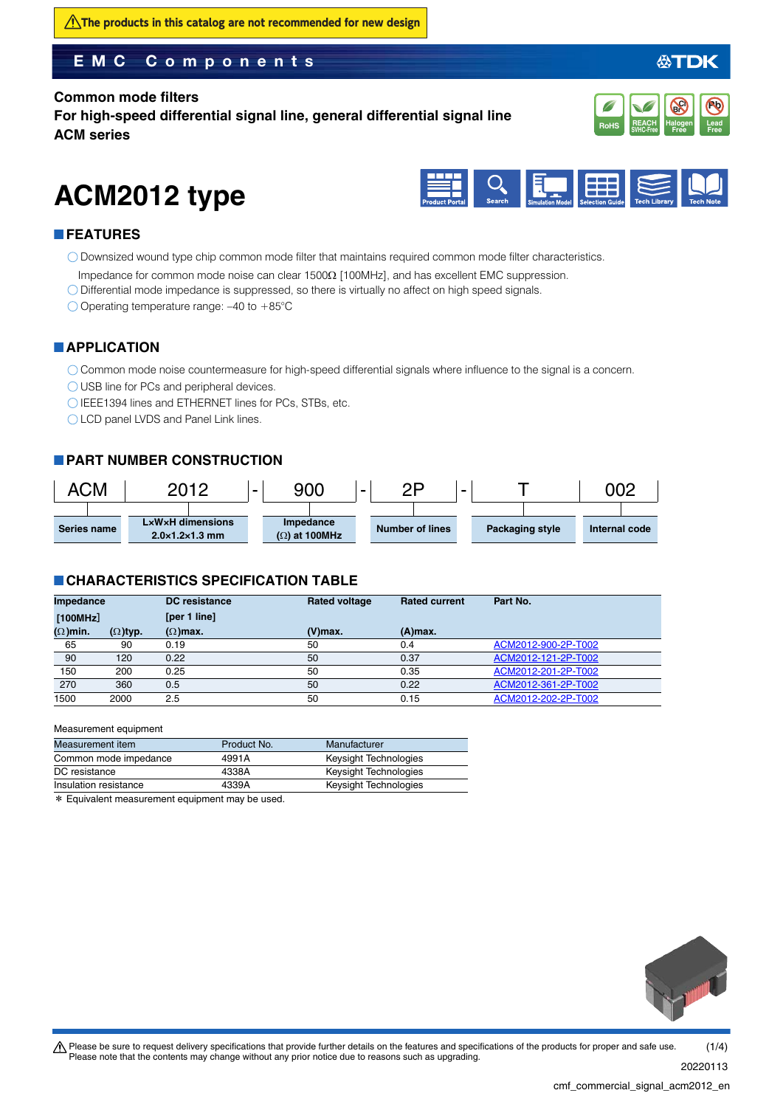$\bigwedge$ The products in this catalog are not recommended for new design

### **EMC Components**

#### **Common mode filters**

**For high-speed differential signal line, general differential signal line ACM series**



公TDK

# **ACM2012 type**



#### **FEATURES**

Downsized wound type chip common mode filter that maintains required common mode filter characteristics.

- Impedance for common mode noise can clear  $1500\Omega$  [100MHz], and has excellent EMC suppression.
- Differential mode impedance is suppressed, so there is virtually no affect on high speed signals.

 $\bigcirc$  Operating temperature range: -40 to +85°C

#### **APPLICATION**

Common mode noise countermeasure for high-speed differential signals where influence to the signal is a concern.

USB line for PCs and peripheral devices.

IEEE1394 lines and ETHERNET lines for PCs, STBs, etc.

C LCD panel LVDS and Panel Link lines.

#### **PART NUMBER CONSTRUCTION**



#### **CHARACTERISTICS SPECIFICATION TABLE**

| Impedance       |                 | <b>DC</b> resistance | <b>Rated voltage</b> | <b>Rated current</b> | Part No.            |
|-----------------|-----------------|----------------------|----------------------|----------------------|---------------------|
| [100MHz]        |                 | [per 1 line]         |                      |                      |                     |
| $(\Omega)$ min. | $(\Omega)$ typ. | $(\Omega)$ max.      | $(V)$ max.           | $(A)$ max.           |                     |
| 65              | 90              | 0.19                 | 50                   | 0.4                  | ACM2012-900-2P-T002 |
| 90              | 120             | 0.22                 | 50                   | 0.37                 | ACM2012-121-2P-T002 |
| 150             | 200             | 0.25                 | 50                   | 0.35                 | ACM2012-201-2P-T002 |
| 270             | 360             | 0.5                  | 50                   | 0.22                 | ACM2012-361-2P-T002 |
| 1500            | 2000            | 2.5                  | 50                   | 0.15                 | ACM2012-202-2P-T002 |

#### Measurement equipment

| Measurement item      | Product No. | Manufacturer          |
|-----------------------|-------------|-----------------------|
| Common mode impedance | 4991A       | Keysight Technologies |
| DC resistance         | 4338A       | Keysight Technologies |
| Insulation resistance | 4339A       | Keysight Technologies |

\* Equivalent measurement equipment may be used.



20220113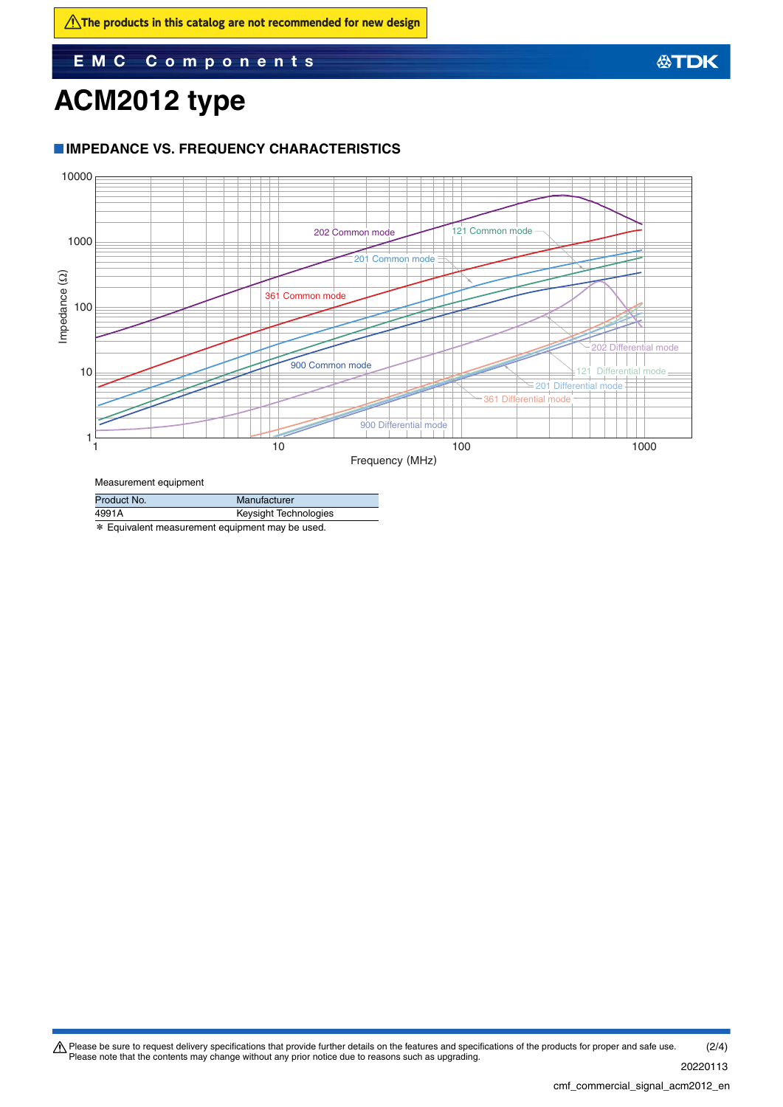**EMC Components**

# **ACM2012 type**

#### **IMPEDANCE VS. FREQUENCY CHARACTERISTICS**



Measurement equipment

| Product No. | Manufacturer          |  |  |
|-------------|-----------------------|--|--|
| 4991A       | Keysight Technologies |  |  |
|             |                       |  |  |

\* Equivalent measurement equipment may be used.

Please be sure to request delivery specifications that provide further details on the features and specifications of the products for proper and safe use.<br>Please note that the contents may change without any prior notice d 20220113 (2/4)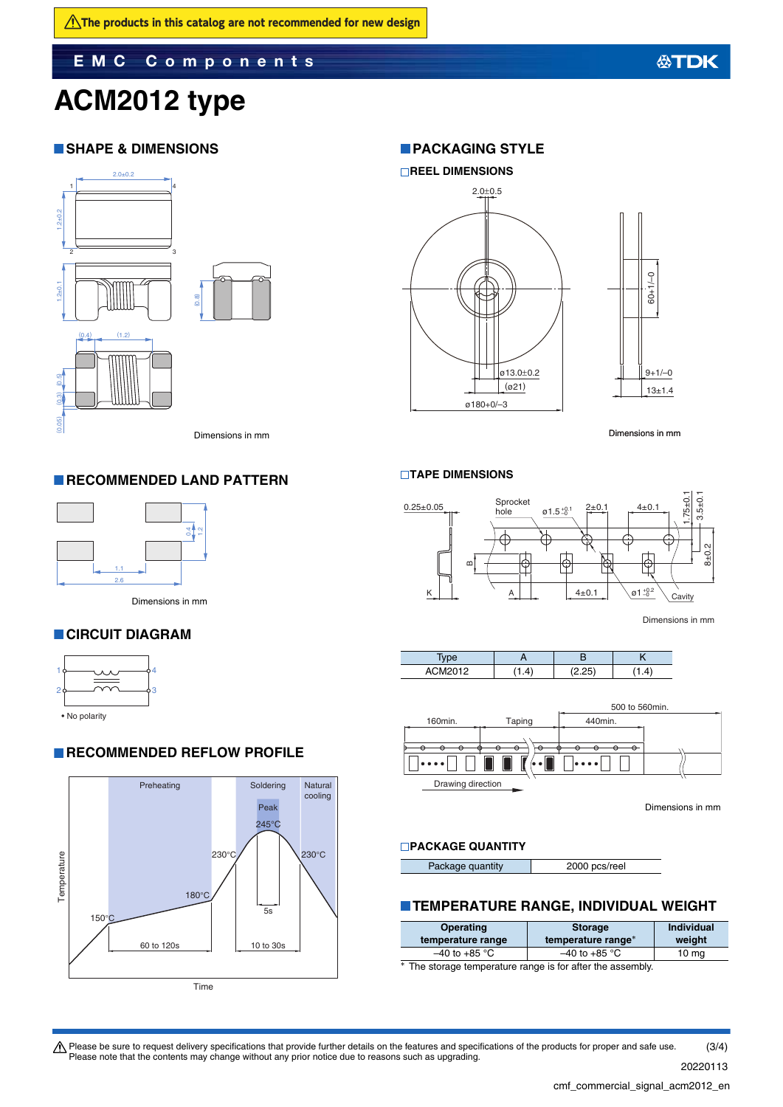**EMC Components**

# **ACM2012 type**

#### **SHAPE & DIMENSIONS**



#### **RECOMMENDED LAND PATTERN**



Dimensions in mm

#### **CIRCUIT DIAGRAM**



#### **RECOMMENDED REFLOW PROFILE**



### **REEL DIMENSIONS**  $2.0 + 0.5$  $60 + 1/-0$  $\frac{61}{100}$ <br> $\frac{3+1}{-0}$ <br> $\frac{13 \pm 1.4}{-1}$ <br> $\frac{13 \pm 1.4}{-1}$ ø13.0±0.2  $9+1/-0$ (ø21) 13±1.4 ø180+0/–3

Dimensions in mm

#### **TAPE DIMENSIONS**

**PACKAGING STYLE** 



Dimensions in mm





Dimensions in mm

#### **PACKAGE QUANTITY**

|--|

#### **TEMPERATURE RANGE, INDIVIDUAL WEIGHT**

| <b>Operating</b>  | <b>Storage</b>     | <b>Individual</b> |
|-------------------|--------------------|-------------------|
| temperature range | temperature range* | weight            |
| $-40$ to +85 °C   | $-40$ to +85 °C    | 10 <sub>mg</sub>  |

\* The storage temperature range is for after the assembly.

**公TDK** 

Please be sure to request delivery specifications that provide further details on the features and specifications of the products for proper and safe use.<br>Please note that the contents may change without any prior notice d (3/4)